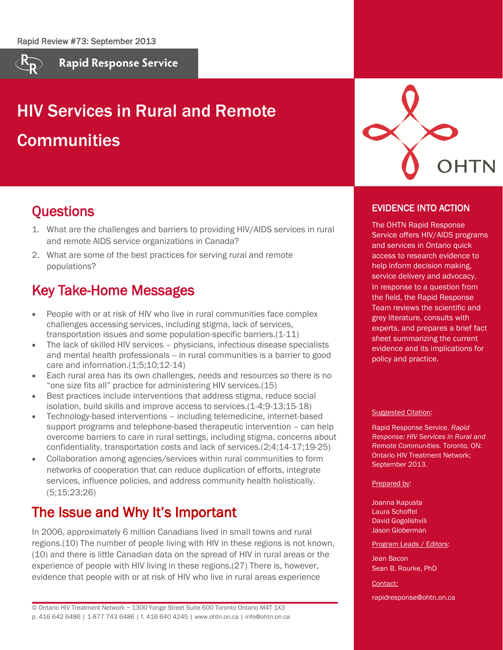

**Rapid Response Service** 

# HIV Services in Rural and Remote **Communities**

### **Questions**

- 1. What are the challenges and barriers to providing HIV/AIDS services in rural and remote AIDS service organizations in Canada?
- 2. What are some of the best practices for serving rural and remote populations?

### Key Take-Home Messages

- People with or at risk of HIV who live in rural communities face complex challenges accessing services, including stigma, lack of services, transportation issues and some population-specific barriers.(1-11)
- The lack of skilled HIV services physicians, infectious disease specialists and mental health professionals -- in rural communities is a barrier to good care and information.(1;5;10;12-14)
- Each rural area has its own challenges, needs and resources so there is no "one size fits all" practice for administering HIV services.(15)
- Best practices include interventions that address stigma, reduce social isolation, build skills and improve access to services.(1-4;9-13;15-18)
- Technology-based interventions including telemedicine, internet-based support programs and telephone-based therapeutic intervention – can help overcome barriers to care in rural settings, including stigma, concerns about confidentiality, transportation costs and lack of services.(2;4;14-17;19-25)
- Collaboration among agencies/services within rural communities to form networks of cooperation that can reduce duplication of efforts, integrate services, influence policies, and address community health holistically. (5;15;23;26)

### The Issue and Why It's Important

In 2006, approximately 6 million Canadians lived in small towns and rural regions.(10) The number of people living with HIV in these regions is not known, (10) and there is little Canadian data on the spread of HIV in rural areas or the experience of people with HIV living in these regions.(27) There is, however, evidence that people with or at risk of HIV who live in rural areas experience

© Ontario HIV Treatment Network ~ 1300 Yonge Street Suite 600 Toronto Ontario M4T 1X3 p. 416 642 6486 | 1-877 743 6486 | f. 416 640 4245 | www.ohtn.on.ca | info@ohtn.on.ca



### EVIDENCE INTO ACTION

The OHTN Rapid Response Service offers HIV/AIDS programs and services in Ontario quick access to research evidence to help inform decision making, service delivery and advocacy. In response to a question from the field, the Rapid Response Team reviews the scientific and grey literature, consults with experts, and prepares a brief fact sheet summarizing the current evidence and its implications for policy and practice.

#### Suggested Citation:

Rapid Response Service. *Rapid Response: HIV Services in Rural and Remote Communities.* Toronto, ON: Ontario HIV Treatment Network; September 2013.

Prepared by:

Joanna Kapusta Laura Schoffel David Gogolishvili Jason Globerman

Program Leads / Editors:

Jean Bacon Sean B. Rourke, PhD

Contact:

rapidresponse@ohtn.on.ca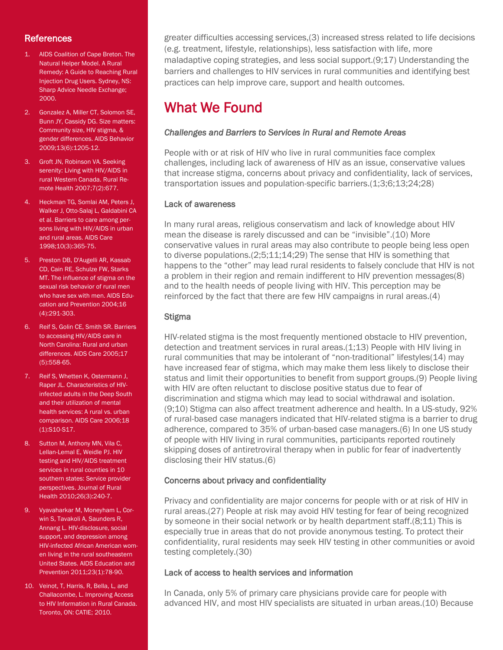#### **References**

- 1. AIDS Coalition of Cape Breton. The Natural Helper Model. A Rural Remedy: A Guide to Reaching Rural Injection Drug Users. Sydney, NS: Sharp Advice Needle Exchange; 2000.
- 2. Gonzalez A, Miller CT, Solomon SE, Bunn JY, Cassidy DG. Size matters: Community size, HIV stigma, & gender differences. AIDS Behavior 2009;13(6):1205-12.
- 3. Groft JN, Robinson VA. Seeking serenity: Living with HIV/AIDS in rural Western Canada. Rural Remote Health 2007;7(2):677.
- 4. Heckman TG, Somlai AM, Peters J, Walker J, Otto-Salaj L, Galdabini CA et al. Barriers to care among persons living with HIV/AIDS in urban and rural areas. AIDS Care 1998;10(3):365-75.
- 5. Preston DB, D'Augelli AR, Kassab CD, Cain RE, Schulze FW, Starks MT. The influence of stigma on the sexual risk behavior of rural men who have sex with men. AIDS Education and Prevention 2004;16 (4):291-303.
- 6. Reif S, Golin CE, Smith SR. Barriers to accessing HIV/AIDS care in North Carolina: Rural and urban differences. AIDS Care 2005;17 (5):558-65.
- 7. Reif S, Whetten K, Ostermann J, Raper JL. Characteristics of HIVinfected adults in the Deep South and their utilization of mental health services: A rural vs. urban comparison. AIDS Care 2006;18 (1):S10-S17.
- 8. Sutton M, Anthony MN, Vila C, Lellan-Lemal E, Weidle PJ. HIV testing and HIV/AIDS treatment services in rural counties in 10 southern states: Service provider perspectives. Journal of Rural Health 2010;26(3):240-7.
- 9. Vyavaharkar M, Moneyham L, Corwin S, Tavakoli A, Saunders R, Annang L. HIV-disclosure, social support, and depression among HIV-infected African American women living in the rural southeastern United States. AIDS Education and Prevention 2011;23(1):78-90.
- 10. Veinot, T, Harris, R, Bella, L, and Challacombe, L. Improving Access to HIV Information in Rural Canada. Toronto, ON: CATIE; 2010.

greater difficulties accessing services,(3) increased stress related to life decisions (e.g. treatment, lifestyle, relationships), less satisfaction with life, more maladaptive coping strategies, and less social support.(9;17) Understanding the barriers and challenges to HIV services in rural communities and identifying best practices can help improve care, support and health outcomes.

## What We Found

#### *Challenges and Barriers to Services in Rural and Remote Areas*

People with or at risk of HIV who live in rural communities face complex challenges, including lack of awareness of HIV as an issue, conservative values that increase stigma, concerns about privacy and confidentiality, lack of services, transportation issues and population-specific barriers.(1;3;6;13;24;28)

#### Lack of awareness

In many rural areas, religious conservatism and lack of knowledge about HIV mean the disease is rarely discussed and can be "invisible".(10) More conservative values in rural areas may also contribute to people being less open to diverse populations.(2;5;11;14;29) The sense that HIV is something that happens to the "other" may lead rural residents to falsely conclude that HIV is not a problem in their region and remain indifferent to HIV prevention messages(8) and to the health needs of people living with HIV. This perception may be reinforced by the fact that there are few HIV campaigns in rural areas.(4)

#### **Stigma**

HIV-related stigma is the most frequently mentioned obstacle to HIV prevention, detection and treatment services in rural areas.(1;13) People with HIV living in rural communities that may be intolerant of "non-traditional" lifestyles(14) may have increased fear of stigma, which may make them less likely to disclose their status and limit their opportunities to benefit from support groups.(9) People living with HIV are often reluctant to disclose positive status due to fear of discrimination and stigma which may lead to social withdrawal and isolation. (9;10) Stigma can also affect treatment adherence and health. In a US-study, 92% of rural-based case managers indicated that HIV-related stigma is a barrier to drug adherence, compared to 35% of urban-based case managers.(6) In one US study of people with HIV living in rural communities, participants reported routinely skipping doses of antiretroviral therapy when in public for fear of inadvertently disclosing their HIV status.(6)

#### Concerns about privacy and confidentiality

Privacy and confidentiality are major concerns for people with or at risk of HIV in rural areas.(27) People at risk may avoid HIV testing for fear of being recognized by someone in their social network or by health department staff.(8;11) This is especially true in areas that do not provide anonymous testing. To protect their confidentiality, rural residents may seek HIV testing in other communities or avoid testing completely.(30)

#### Lack of access to health services and information

In Canada, only 5% of primary care physicians provide care for people with advanced HIV, and most HIV specialists are situated in urban areas.(10) Because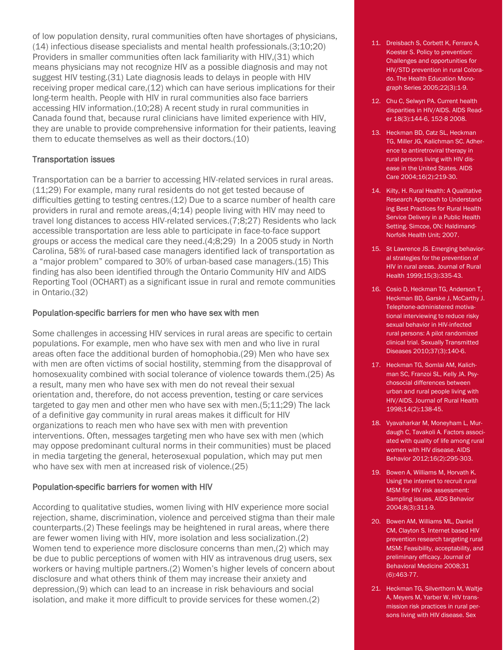of low population density, rural communities often have shortages of physicians, (14) infectious disease specialists and mental health professionals.(3;10;20) Providers in smaller communities often lack familiarity with HIV,(31) which means physicians may not recognize HIV as a possible diagnosis and may not suggest HIV testing.(31) Late diagnosis leads to delays in people with HIV receiving proper medical care,(12) which can have serious implications for their long-term health. People with HIV in rural communities also face barriers accessing HIV information.(10;28) A recent study in rural communities in Canada found that, because rural clinicians have limited experience with HIV, they are unable to provide comprehensive information for their patients, leaving them to educate themselves as well as their doctors.(10)

#### Transportation issues

Transportation can be a barrier to accessing HIV-related services in rural areas. (11;29) For example, many rural residents do not get tested because of difficulties getting to testing centres.(12) Due to a scarce number of health care providers in rural and remote areas,(4;14) people living with HIV may need to travel long distances to access HIV-related services.(7;8;27) Residents who lack accessible transportation are less able to participate in face-to-face support groups or access the medical care they need.(4;8;29) In a 2005 study in North Carolina, 58% of rural-based case managers identified lack of transportation as a "major problem" compared to 30% of urban-based case managers.(15) This finding has also been identified through the Ontario Community HIV and AIDS Reporting Tool (OCHART) as a significant issue in rural and remote communities in Ontario.(32)

#### Population-specific barriers for men who have sex with men

Some challenges in accessing HIV services in rural areas are specific to certain populations. For example, men who have sex with men and who live in rural areas often face the additional burden of homophobia.(29) Men who have sex with men are often victims of social hostility, stemming from the disapproval of homosexuality combined with social tolerance of violence towards them.(25) As a result, many men who have sex with men do not reveal their sexual orientation and, therefore, do not access prevention, testing or care services targeted to gay men and other men who have sex with men.(5;11;29) The lack of a definitive gay community in rural areas makes it difficult for HIV organizations to reach men who have sex with men with prevention interventions. Often, messages targeting men who have sex with men (which may oppose predominant cultural norms in their communities) must be placed in media targeting the general, heterosexual population, which may put men who have sex with men at increased risk of violence.(25)

#### Population-specific barriers for women with HIV

According to qualitative studies, women living with HIV experience more social rejection, shame, discrimination, violence and perceived stigma than their male counterparts.(2) These feelings may be heightened in rural areas, where there are fewer women living with HIV, more isolation and less socialization.(2) Women tend to experience more disclosure concerns than men,(2) which may be due to public perceptions of women with HIV as intravenous drug users, sex workers or having multiple partners.(2) Women's higher levels of concern about disclosure and what others think of them may increase their anxiety and depression,(9) which can lead to an increase in risk behaviours and social isolation, and make it more difficult to provide services for these women.(2)

- 11. Dreisbach S, Corbett K, Ferraro A, Koester S. Policy to prevention: Challenges and opportunities for HIV/STD prevention in rural Colorado. The Health Education Monograph Series 2005;22(3):1-9.
- 12. Chu C, Selwyn PA. Current health disparities in HIV/AIDS. AIDS Reader 18(3):144-6, 152-8 2008.
- 13. Heckman BD, Catz SL, Heckman TG, Miller JG, Kalichman SC. Adherence to antiretroviral therapy in rural persons living with HIV disease in the United States. AIDS Care 2004;16(2):219-30.
- 14. Kilty, H. Rural Health: A Qualitative Research Approach to Understanding Best Practices for Rural Health Service Delivery in a Public Health Setting. Simcoe, ON: Haldimand-Norfolk Health Unit; 2007.
- 15. St Lawrence JS. Emerging behavioral strategies for the prevention of HIV in rural areas. Journal of Rural Health 1999;15(3):335-43.
- 16. Cosio D, Heckman TG, Anderson T, Heckman BD, Garske J, McCarthy J. Telephone-administered motivational interviewing to reduce risky sexual behavior in HIV-infected rural persons: A pilot randomized clinical trial. Sexually Transmitted Diseases 2010;37(3):140-6.
- 17. Heckman TG, Somlai AM, Kalichman SC, Franzoi SL, Kelly JA. Psychosocial differences between urban and rural people living with HIV/AIDS. Journal of Rural Health 1998;14(2):138-45.
- 18. Vyavaharkar M, Moneyham L, Murdaugh C, Tavakoli A. Factors associated with quality of life among rural women with HIV disease. AIDS Behavior 2012;16(2):295-303.
- 19. Bowen A, Williams M, Horvath K. Using the internet to recruit rural MSM for HIV risk assessment: Sampling issues. AIDS Behavior 2004;8(3):311-9.
- 20. Bowen AM, Williams ML, Daniel CM, Clayton S. Internet based HIV prevention research targeting rural MSM: Feasibility, acceptability, and preliminary efficacy. Journal of Behavioral Medicine 2008;31 (6):463-77.
- 21. Heckman TG, Silverthorn M, Waltje A, Meyers M, Yarber W. HIV transmission risk practices in rural persons living with HIV disease. Sex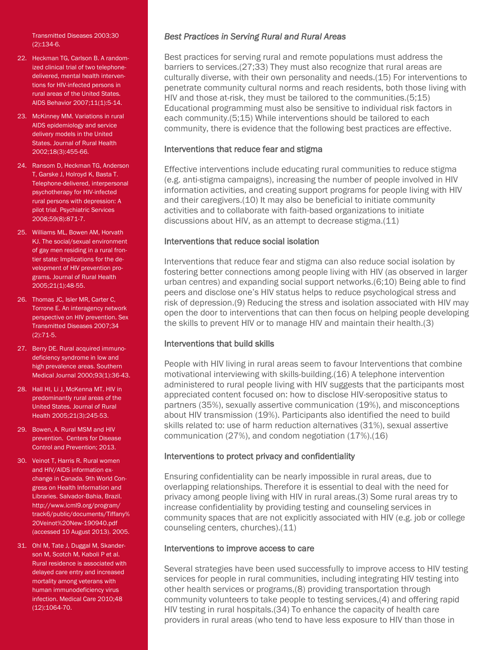Transmitted Diseases 2003;30 (2):134-6.

- 22. Heckman TG, Carlson B. A randomized clinical trial of two telephonedelivered, mental health interventions for HIV-infected persons in rural areas of the United States. AIDS Behavior 2007;11(1):5-14.
- 23. McKinney MM. Variations in rural AIDS epidemiology and service delivery models in the United States. Journal of Rural Health 2002;18(3):455-66.
- 24. Ransom D, Heckman TG, Anderson T, Garske J, Holroyd K, Basta T. Telephone-delivered, interpersonal psychotherapy for HIV-infected rural persons with depression: A pilot trial. Psychiatric Services 2008;59(8):871-7.
- 25. Williams ML, Bowen AM, Horvath KJ. The social/sexual environment of gay men residing in a rural frontier state: Implications for the development of HIV prevention programs. Journal of Rural Health 2005;21(1):48-55.
- 26. Thomas JC, Isler MR, Carter C, Torrone E. An interagency network perspective on HIV prevention. Sex Transmitted Diseases 2007;34 (2):71-5.
- 27. Berry DE. Rural acquired immunodeficiency syndrome in low and high prevalence areas. Southern Medical Journal 2000;93(1):36-43.
- 28. Hall HI, Li J, McKenna MT. HIV in predominantly rural areas of the United States. Journal of Rural Health 2005;21(3):245-53.
- 29. Bowen, A. Rural MSM and HIV prevention. Centers for Disease Control and Prevention; 2013.
- 30. Veinot T, Harris R. Rural women and HIV/AIDS information exchange in Canada. 9th World Congress on Health Information and Libraries. Salvador-Bahia, Brazil. http://www.icml9.org/program/ track6/public/documents/Tiffany% 20Veinot%20New-190940.pdf (accessed 10 August 2013). 2005.
- 31. Ohl M, Tate J, Duggal M, Skanderson M, Scotch M, Kaboli P et al. Rural residence is associated with delayed care entry and increased mortality among veterans with human immunodeficiency virus infection. Medical Care 2010;48 (12):1064-70.

#### *Best Practices in Serving Rural and Rural Areas*

Best practices for serving rural and remote populations must address the barriers to services.(27;33) They must also recognize that rural areas are culturally diverse, with their own personality and needs.(15) For interventions to penetrate community cultural norms and reach residents, both those living with HIV and those at-risk, they must be tailored to the communities.(5;15) Educational programming must also be sensitive to individual risk factors in each community.(5;15) While interventions should be tailored to each community, there is evidence that the following best practices are effective.

#### Interventions that reduce fear and stigma

Effective interventions include educating rural communities to reduce stigma (e.g. anti-stigma campaigns), increasing the number of people involved in HIV information activities, and creating support programs for people living with HIV and their caregivers.(10) It may also be beneficial to initiate community activities and to collaborate with faith-based organizations to initiate discussions about HIV, as an attempt to decrease stigma.(11)

#### Interventions that reduce social isolation

Interventions that reduce fear and stigma can also reduce social isolation by fostering better connections among people living with HIV (as observed in larger urban centres) and expanding social support networks.(6;10) Being able to find peers and disclose one's HIV status helps to reduce psychological stress and risk of depression.(9) Reducing the stress and isolation associated with HIV may open the door to interventions that can then focus on helping people developing the skills to prevent HIV or to manage HIV and maintain their health.(3)

#### Interventions that build skills

People with HIV living in rural areas seem to favour Interventions that combine motivational interviewing with skills-building.(16) A telephone intervention administered to rural people living with HIV suggests that the participants most appreciated content focused on: how to disclose HIV-seropositive status to partners (35%), sexually assertive communication (19%), and misconceptions about HIV transmission (19%). Participants also identified the need to build skills related to: use of harm reduction alternatives (31%), sexual assertive communication (27%), and condom negotiation (17%).(16)

#### Interventions to protect privacy and confidentiality

Ensuring confidentiality can be nearly impossible in rural areas, due to overlapping relationships. Therefore it is essential to deal with the need for privacy among people living with HIV in rural areas.(3) Some rural areas try to increase confidentiality by providing testing and counseling services in community spaces that are not explicitly associated with HIV (e.g. job or college counseling centers, churches).(11)

#### Interventions to improve access to care

Several strategies have been used successfully to improve access to HIV testing services for people in rural communities, including integrating HIV testing into other health services or programs,(8) providing transportation through community volunteers to take people to testing services,(4) and offering rapid HIV testing in rural hospitals.(34) To enhance the capacity of health care providers in rural areas (who tend to have less exposure to HIV than those in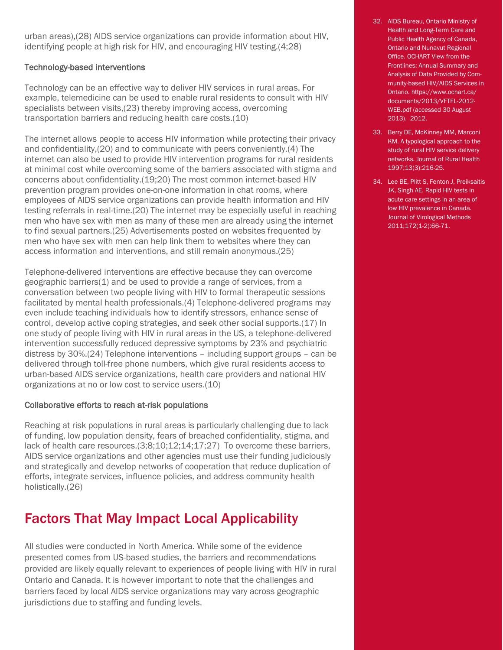urban areas),(28) AIDS service organizations can provide information about HIV, identifying people at high risk for HIV, and encouraging HIV testing.(4;28)

#### Technology-based interventions

Technology can be an effective way to deliver HIV services in rural areas. For example, telemedicine can be used to enable rural residents to consult with HIV specialists between visits,(23) thereby improving access, overcoming transportation barriers and reducing health care costs.(10)

The internet allows people to access HIV information while protecting their privacy and confidentiality,(20) and to communicate with peers conveniently.(4) The internet can also be used to provide HIV intervention programs for rural residents at minimal cost while overcoming some of the barriers associated with stigma and concerns about confidentiality.(19;20) The most common internet-based HIV prevention program provides one-on-one information in chat rooms, where employees of AIDS service organizations can provide health information and HIV testing referrals in real-time.(20) The internet may be especially useful in reaching men who have sex with men as many of these men are already using the internet to find sexual partners.(25) Advertisements posted on websites frequented by men who have sex with men can help link them to websites where they can access information and interventions, and still remain anonymous.(25)

Telephone-delivered interventions are effective because they can overcome geographic barriers(1) and be used to provide a range of services, from a conversation between two people living with HIV to formal therapeutic sessions facilitated by mental health professionals.(4) Telephone-delivered programs may even include teaching individuals how to identify stressors, enhance sense of control, develop active coping strategies, and seek other social supports.(17) In one study of people living with HIV in rural areas in the US, a telephone-delivered intervention successfully reduced depressive symptoms by 23% and psychiatric distress by 30%.(24) Telephone interventions – including support groups – can be delivered through toll-free phone numbers, which give rural residents access to urban-based AIDS service organizations, health care providers and national HIV organizations at no or low cost to service users.(10)

#### Collaborative efforts to reach at-risk populations

Reaching at risk populations in rural areas is particularly challenging due to lack of funding, low population density, fears of breached confidentiality, stigma, and lack of health care resources.(3;8;10;12;14;17;27) To overcome these barriers, AIDS service organizations and other agencies must use their funding judiciously and strategically and develop networks of cooperation that reduce duplication of efforts, integrate services, influence policies, and address community health holistically.(26)

### Factors That May Impact Local Applicability

All studies were conducted in North America. While some of the evidence presented comes from US-based studies, the barriers and recommendations provided are likely equally relevant to experiences of people living with HIV in rural Ontario and Canada. It is however important to note that the challenges and barriers faced by local AIDS service organizations may vary across geographic jurisdictions due to staffing and funding levels.

- 32. AIDS Bureau, Ontario Ministry of Health and Long-Term Care and Public Health Agency of Canada, Ontario and Nunavut Regional Office. OCHART View from the Frontlines: Annual Summary and Analysis of Data Provided by Community-based HIV/AIDS Services in Ontario. https://www.ochart.ca/ documents/2013/VFTFL-2012- WEB.pdf (accessed 30 August 2013). 2012.
- 33. Berry DE, McKinney MM, Marconi KM. A typological approach to the study of rural HIV service delivery networks. Journal of Rural Health 1997;13(3):216-25.
- 34. Lee BE, Plitt S, Fenton J, Preiksaitis JK, Singh AE. Rapid HIV tests in acute care settings in an area of low HIV prevalence in Canada. Journal of Virological Methods 2011;172(1-2):66-71.